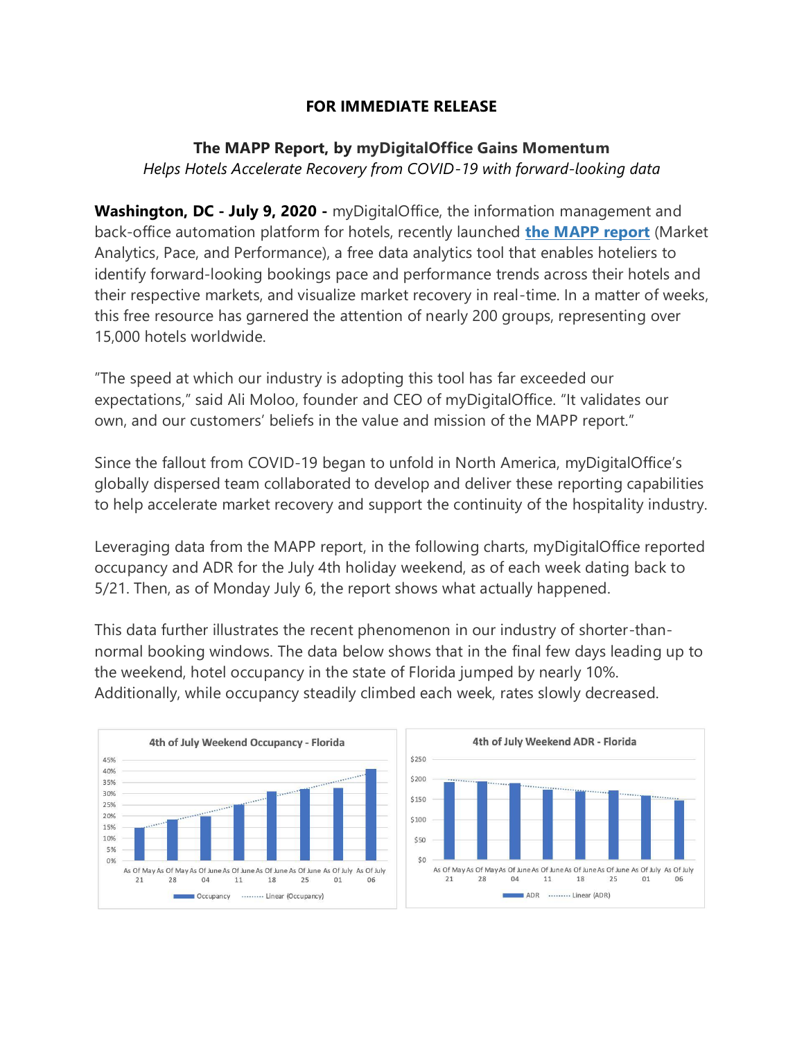## **FOR IMMEDIATE RELEASE**

## **The MAPP Report, by myDigitalOffice Gains Momentum** *Helps Hotels Accelerate Recovery from COVID-19 with forward-looking data*

**Washington, DC - July 9, 2020 -** myDigitalOffice, the information management and back-office automation platform for hotels, recently launched **[the MAPP report](https://go.mydigitaloffice.com/mdomapptool)** (Market Analytics, Pace, and Performance), a free data analytics tool that enables hoteliers to identify forward-looking bookings pace and performance trends across their hotels and their respective markets, and visualize market recovery in real-time. In a matter of weeks, this free resource has garnered the attention of nearly 200 groups, representing over 15,000 hotels worldwide.

"The speed at which our industry is adopting this tool has far exceeded our expectations," said Ali Moloo, founder and CEO of myDigitalOffice. "It validates our own, and our customers' beliefs in the value and mission of the MAPP report."

Since the fallout from COVID-19 began to unfold in North America, myDigitalOffice's globally dispersed team collaborated to develop and deliver these reporting capabilities to help accelerate market recovery and support the continuity of the hospitality industry.

Leveraging data from the MAPP report, in the following charts, myDigitalOffice reported occupancy and ADR for the July 4th holiday weekend, as of each week dating back to 5/21. Then, as of Monday July 6, the report shows what actually happened.

This data further illustrates the recent phenomenon in our industry of shorter-thannormal booking windows. The data below shows that in the final few days leading up to the weekend, hotel occupancy in the state of Florida jumped by nearly 10%. Additionally, while occupancy steadily climbed each week, rates slowly decreased.